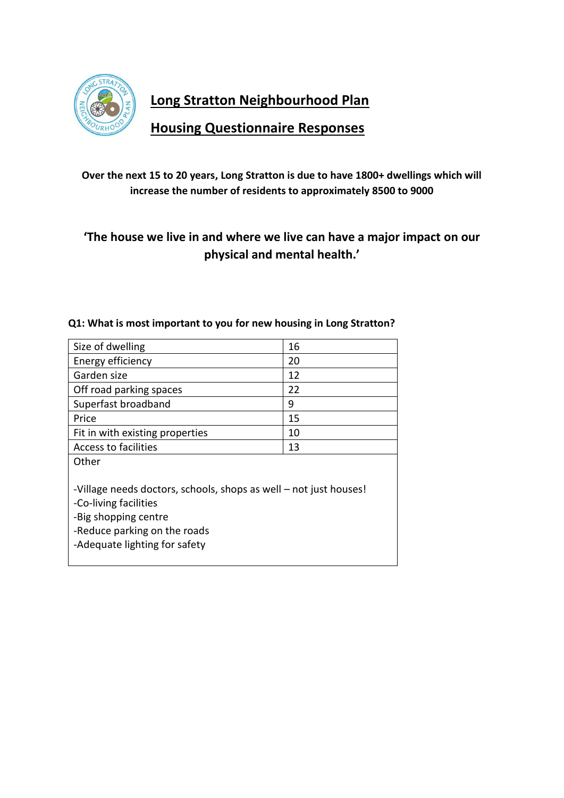

**Long Stratton Neighbourhood Plan** 

**Housing Questionnaire Responses**

## **Over the next 15 to 20 years, Long Stratton is due to have 1800+ dwellings which will increase the number of residents to approximately 8500 to 9000**

# **'The house we live in and where we live can have a major impact on our physical and mental health.'**

| Size of dwelling                                                                                                                                                                    | 16 |  |
|-------------------------------------------------------------------------------------------------------------------------------------------------------------------------------------|----|--|
| Energy efficiency                                                                                                                                                                   | 20 |  |
| Garden size                                                                                                                                                                         | 12 |  |
| Off road parking spaces                                                                                                                                                             | 22 |  |
| Superfast broadband                                                                                                                                                                 | 9  |  |
| Price                                                                                                                                                                               | 15 |  |
| Fit in with existing properties                                                                                                                                                     | 10 |  |
| Access to facilities                                                                                                                                                                | 13 |  |
| Other                                                                                                                                                                               |    |  |
| -Village needs doctors, schools, shops as well – not just houses!<br>-Co-living facilities<br>-Big shopping centre<br>-Reduce parking on the roads<br>-Adequate lighting for safety |    |  |

#### **Q1: What is most important to you for new housing in Long Stratton?**